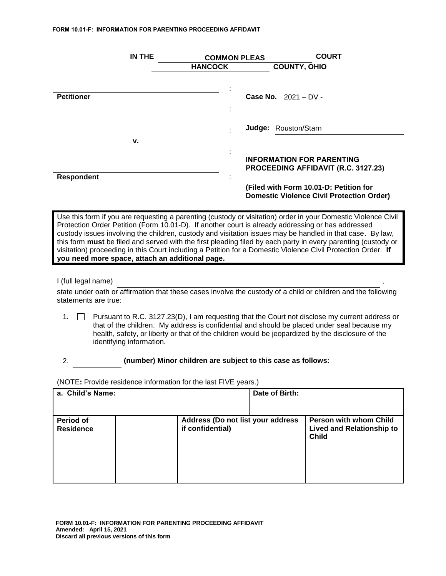#### **FORM 10.01-F: INFORMATION FOR PARENTING PROCEEDING AFFIDAVIT**

|                   | <b>IN THE</b> | <b>COMMON PLEAS</b>           | <b>COURT</b>                                                                               |
|-------------------|---------------|-------------------------------|--------------------------------------------------------------------------------------------|
|                   |               | <b>HANCOCK</b>                | <b>COUNTY, OHIO</b>                                                                        |
|                   |               |                               |                                                                                            |
|                   |               |                               |                                                                                            |
| <b>Petitioner</b> |               |                               | <b>Case No.</b> $2021 - DV -$                                                              |
|                   |               |                               |                                                                                            |
|                   |               |                               | Judge: Rouston/Starn                                                                       |
|                   | v.            |                               |                                                                                            |
|                   |               | ٠<br>$\overline{\phantom{a}}$ | <b>INFORMATION FOR PARENTING</b><br>PROCEEDING AFFIDAVIT (R.C. 3127.23)                    |
| <b>Respondent</b> |               | ٠                             |                                                                                            |
|                   |               |                               | (Filed with Form 10.01-D: Petition for<br><b>Domestic Violence Civil Protection Order)</b> |
|                   |               |                               |                                                                                            |

Use this form if you are requesting a parenting (custody or visitation) order in your Domestic Violence Civil Protection Order Petition (Form 10.01-D). If another court is already addressing or has addressed custody issues involving the children, custody and visitation issues may be handled in that case. By law, this form **must** be filed and served with the first pleading filed by each party in every parenting (custody or visitation) proceeding in this Court including a Petition for a Domestic Violence Civil Protection Order. **If you need more space, attach an additional page.**

## I (full legal name)

state under oath or affirmation that these cases involve the custody of a child or children and the following statements are true:

1.  $\Box$  Pursuant to R.C. 3127.23(D), I am requesting that the Court not disclose my current address or that of the children. My address is confidential and should be placed under seal because my health, safety, or liberty or that of the children would be jeopardized by the disclosure of the identifying information.

## 2. **(number) Minor children are subject to this case as follows:**

(NOTE**:** Provide residence information for the last FIVE years.)

| a. Child's Name:              |                                                       | Date of Birth: |                                                                                   |
|-------------------------------|-------------------------------------------------------|----------------|-----------------------------------------------------------------------------------|
| Period of<br><b>Residence</b> | Address (Do not list your address<br>if confidential) |                | <b>Person with whom Child</b><br><b>Lived and Relationship to</b><br><b>Child</b> |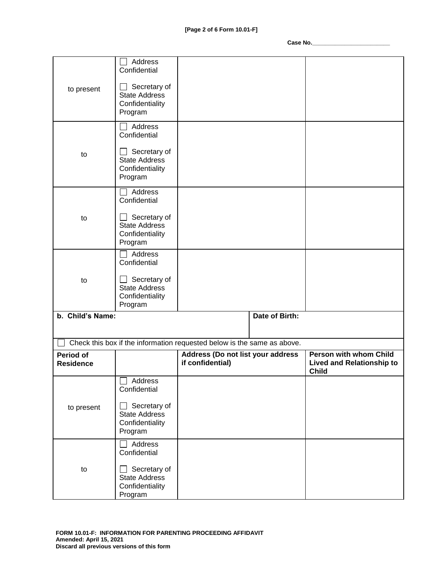| to present       | Address<br>Confidential<br>Secretary of<br><b>State Address</b><br>Confidentiality |                                                                                                              |                                                  |
|------------------|------------------------------------------------------------------------------------|--------------------------------------------------------------------------------------------------------------|--------------------------------------------------|
|                  | Program<br>Address                                                                 |                                                                                                              |                                                  |
|                  | Confidential                                                                       |                                                                                                              |                                                  |
| to               | Secretary of<br><b>State Address</b><br>Confidentiality<br>Program                 |                                                                                                              |                                                  |
|                  | Address<br>Confidential                                                            |                                                                                                              |                                                  |
| to               | Secretary of<br><b>State Address</b><br>Confidentiality<br>Program                 |                                                                                                              |                                                  |
|                  | Address<br>Confidential                                                            |                                                                                                              |                                                  |
| to               | Secretary of<br><b>State Address</b><br>Confidentiality<br>Program                 |                                                                                                              |                                                  |
| b. Child's Name: |                                                                                    | Date of Birth:                                                                                               |                                                  |
|                  |                                                                                    |                                                                                                              |                                                  |
| <b>Period of</b> |                                                                                    | Check this box if the information requested below is the same as above.<br>Address (Do not list your address | <b>Person with whom Child</b>                    |
| <b>Residence</b> |                                                                                    | if confidential)                                                                                             | <b>Lived and Relationship to</b><br><b>Child</b> |
|                  | $\Box$ Address<br>Confidential                                                     |                                                                                                              |                                                  |
| to present       | Secretary of<br><b>State Address</b><br>Confidentiality<br>Program                 |                                                                                                              |                                                  |
|                  | Address<br>Confidential                                                            |                                                                                                              |                                                  |
| to               | Secretary of<br><b>State Address</b><br>Confidentiality<br>Program                 |                                                                                                              |                                                  |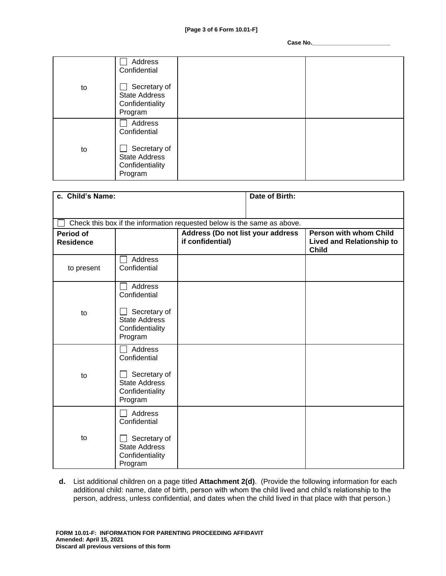|    | Address<br>Confidential                                            |  |
|----|--------------------------------------------------------------------|--|
| to | Secretary of<br><b>State Address</b><br>Confidentiality<br>Program |  |
|    | Address<br>Confidential                                            |  |
| to | Secretary of<br><b>State Address</b><br>Confidentiality<br>Program |  |

| c. Child's Name:                     |                                                                                               | Date of Birth:                                                          |  |                                                                            |
|--------------------------------------|-----------------------------------------------------------------------------------------------|-------------------------------------------------------------------------|--|----------------------------------------------------------------------------|
|                                      |                                                                                               |                                                                         |  |                                                                            |
|                                      |                                                                                               | Check this box if the information requested below is the same as above. |  |                                                                            |
| <b>Period of</b><br><b>Residence</b> |                                                                                               | Address (Do not list your address<br>if confidential)                   |  | Person with whom Child<br><b>Lived and Relationship to</b><br><b>Child</b> |
| to present                           | Address<br>Confidential                                                                       |                                                                         |  |                                                                            |
| to                                   | Address<br>Confidential<br>Secretary of<br><b>State Address</b><br>Confidentiality<br>Program |                                                                         |  |                                                                            |
| to                                   | Address<br>Confidential<br>Secretary of<br><b>State Address</b><br>Confidentiality<br>Program |                                                                         |  |                                                                            |
| to                                   | Address<br>Confidential<br>Secretary of<br><b>State Address</b><br>Confidentiality<br>Program |                                                                         |  |                                                                            |

**d.** List additional children on a page titled **Attachment 2(d)**. (Provide the following information for each additional child: name, date of birth, person with whom the child lived and child's relationship to the person, address, unless confidential, and dates when the child lived in that place with that person.)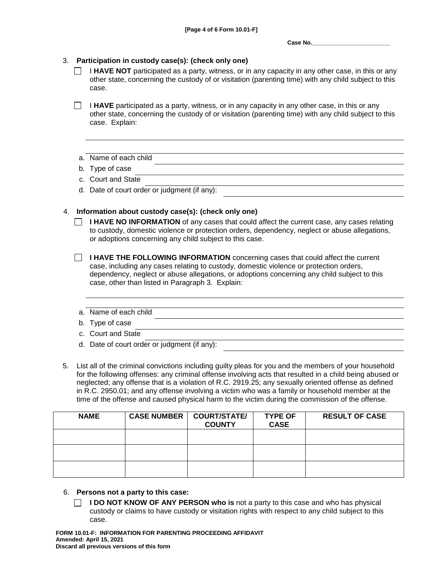## 3. **Participation in custody case(s): (check only one)**

I **HAVE NOT** participated as a party, witness, or in any capacity in any other case, in this or any other state, concerning the custody of or visitation (parenting time) with any child subject to this case.

**I HAVE** participated as a party, witness, or in any capacity in any other case, in this or any other state, concerning the custody of or visitation (parenting time) with any child subject to this case. Explain:

## a. Name of each child

- b. Type of case
- c. Court and State
- d. Date of court order or judgment (if any):

## 4. **Information about custody case(s): (check only one)**

- **I HAVE NO INFORMATION** of any cases that could affect the current case, any cases relating to custody, domestic violence or protection orders, dependency, neglect or abuse allegations, or adoptions concerning any child subject to this case.
- **I HAVE THE FOLLOWING INFORMATION** concerning cases that could affect the current case, including any cases relating to custody, domestic violence or protection orders, dependency, neglect or abuse allegations, or adoptions concerning any child subject to this case, other than listed in Paragraph 3. Explain:
- a. Name of each child
- b. Type of case
- c. Court and State
- d. Date of court order or judgment (if any):
- 5. List all of the criminal convictions including guilty pleas for you and the members of your household for the following offenses: any criminal offense involving acts that resulted in a child being abused or neglected; any offense that is a violation of R.C. 2919.25; any sexually oriented offense as defined in R.C. 2950.01; and any offense involving a victim who was a family or household member at the time of the offense and caused physical harm to the victim during the commission of the offense.

| <b>NAME</b> | <b>CASE NUMBER</b> | <b>COURT/STATE/</b><br><b>COUNTY</b> | <b>TYPE OF</b><br><b>CASE</b> | <b>RESULT OF CASE</b> |
|-------------|--------------------|--------------------------------------|-------------------------------|-----------------------|
|             |                    |                                      |                               |                       |
|             |                    |                                      |                               |                       |
|             |                    |                                      |                               |                       |

- 6. **Persons not a party to this case:** 
	- **I DO NOT KNOW OF ANY PERSON who is** not a party to this case and who has physical custody or claims to have custody or visitation rights with respect to any child subject to this case.